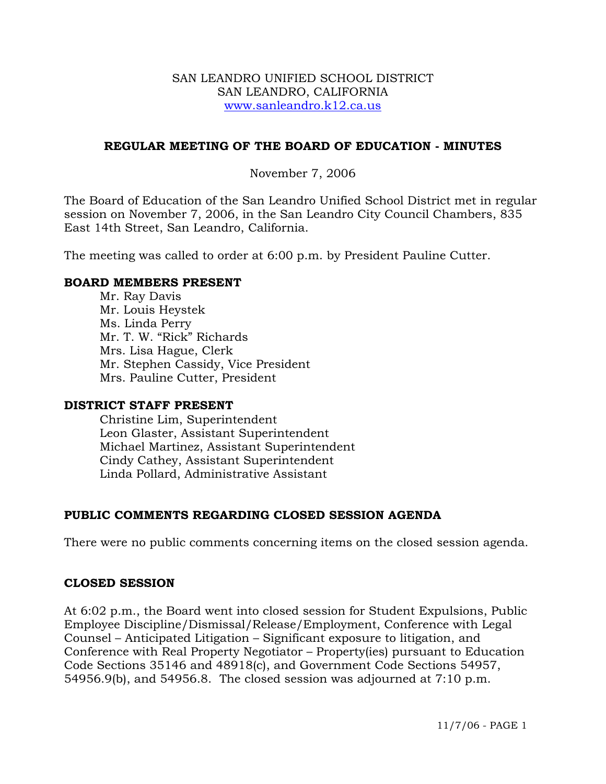#### SAN LEANDRO UNIFIED SCHOOL DISTRICT SAN LEANDRO, CALIFORNIA www.sanleandro.k12.ca.us

### **REGULAR MEETING OF THE BOARD OF EDUCATION - MINUTES**

### November 7, 2006

The Board of Education of the San Leandro Unified School District met in regular session on November 7, 2006, in the San Leandro City Council Chambers, 835 East 14th Street, San Leandro, California.

The meeting was called to order at 6:00 p.m. by President Pauline Cutter.

#### **BOARD MEMBERS PRESENT**

Mr. Ray Davis Mr. Louis Heystek Ms. Linda Perry Mr. T. W. "Rick" Richards Mrs. Lisa Hague, Clerk Mr. Stephen Cassidy, Vice President Mrs. Pauline Cutter, President

#### **DISTRICT STAFF PRESENT**

Christine Lim, Superintendent Leon Glaster, Assistant Superintendent Michael Martinez, Assistant Superintendent Cindy Cathey, Assistant Superintendent Linda Pollard, Administrative Assistant

# **PUBLIC COMMENTS REGARDING CLOSED SESSION AGENDA**

There were no public comments concerning items on the closed session agenda.

#### **CLOSED SESSION**

At 6:02 p.m., the Board went into closed session for Student Expulsions, Public Employee Discipline/Dismissal/Release/Employment, Conference with Legal Counsel – Anticipated Litigation – Significant exposure to litigation, and Conference with Real Property Negotiator – Property(ies) pursuant to Education Code Sections 35146 and 48918(c), and Government Code Sections 54957, 54956.9(b), and 54956.8. The closed session was adjourned at 7:10 p.m.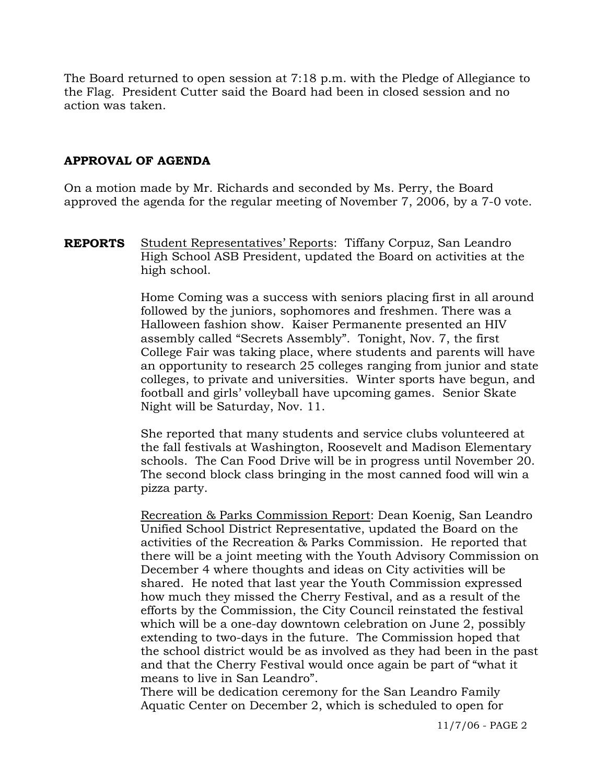The Board returned to open session at 7:18 p.m. with the Pledge of Allegiance to the Flag. President Cutter said the Board had been in closed session and no action was taken.

# **APPROVAL OF AGENDA**

On a motion made by Mr. Richards and seconded by Ms. Perry, the Board approved the agenda for the regular meeting of November 7, 2006, by a 7-0 vote.

**REPORTS** Student Representatives' Reports: Tiffany Corpuz, San Leandro High School ASB President, updated the Board on activities at the high school.

> Home Coming was a success with seniors placing first in all around followed by the juniors, sophomores and freshmen. There was a Halloween fashion show. Kaiser Permanente presented an HIV assembly called "Secrets Assembly". Tonight, Nov. 7, the first College Fair was taking place, where students and parents will have an opportunity to research 25 colleges ranging from junior and state colleges, to private and universities. Winter sports have begun, and football and girls' volleyball have upcoming games. Senior Skate Night will be Saturday, Nov. 11.

> She reported that many students and service clubs volunteered at the fall festivals at Washington, Roosevelt and Madison Elementary schools. The Can Food Drive will be in progress until November 20. The second block class bringing in the most canned food will win a pizza party.

 Recreation & Parks Commission Report: Dean Koenig, San Leandro Unified School District Representative, updated the Board on the activities of the Recreation & Parks Commission. He reported that there will be a joint meeting with the Youth Advisory Commission on December 4 where thoughts and ideas on City activities will be shared. He noted that last year the Youth Commission expressed how much they missed the Cherry Festival, and as a result of the efforts by the Commission, the City Council reinstated the festival which will be a one-day downtown celebration on June 2, possibly extending to two-days in the future. The Commission hoped that the school district would be as involved as they had been in the past and that the Cherry Festival would once again be part of "what it means to live in San Leandro".

There will be dedication ceremony for the San Leandro Family Aquatic Center on December 2, which is scheduled to open for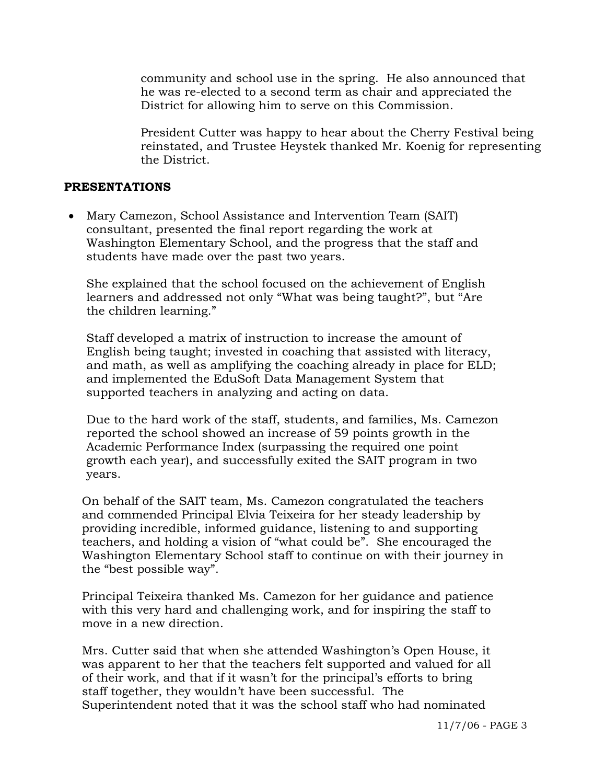community and school use in the spring. He also announced that he was re-elected to a second term as chair and appreciated the District for allowing him to serve on this Commission.

President Cutter was happy to hear about the Cherry Festival being reinstated, and Trustee Heystek thanked Mr. Koenig for representing the District.

### **PRESENTATIONS**

• Mary Camezon, School Assistance and Intervention Team (SAIT) consultant, presented the final report regarding the work at Washington Elementary School, and the progress that the staff and students have made over the past two years.

 She explained that the school focused on the achievement of English learners and addressed not only "What was being taught?", but "Are the children learning."

 Staff developed a matrix of instruction to increase the amount of English being taught; invested in coaching that assisted with literacy, and math, as well as amplifying the coaching already in place for ELD; and implemented the EduSoft Data Management System that supported teachers in analyzing and acting on data.

 Due to the hard work of the staff, students, and families, Ms. Camezon reported the school showed an increase of 59 points growth in the Academic Performance Index (surpassing the required one point growth each year), and successfully exited the SAIT program in two years.

 On behalf of the SAIT team, Ms. Camezon congratulated the teachers and commended Principal Elvia Teixeira for her steady leadership by providing incredible, informed guidance, listening to and supporting teachers, and holding a vision of "what could be". She encouraged the Washington Elementary School staff to continue on with their journey in the "best possible way".

 Principal Teixeira thanked Ms. Camezon for her guidance and patience with this very hard and challenging work, and for inspiring the staff to move in a new direction.

 Mrs. Cutter said that when she attended Washington's Open House, it was apparent to her that the teachers felt supported and valued for all of their work, and that if it wasn't for the principal's efforts to bring staff together, they wouldn't have been successful. The Superintendent noted that it was the school staff who had nominated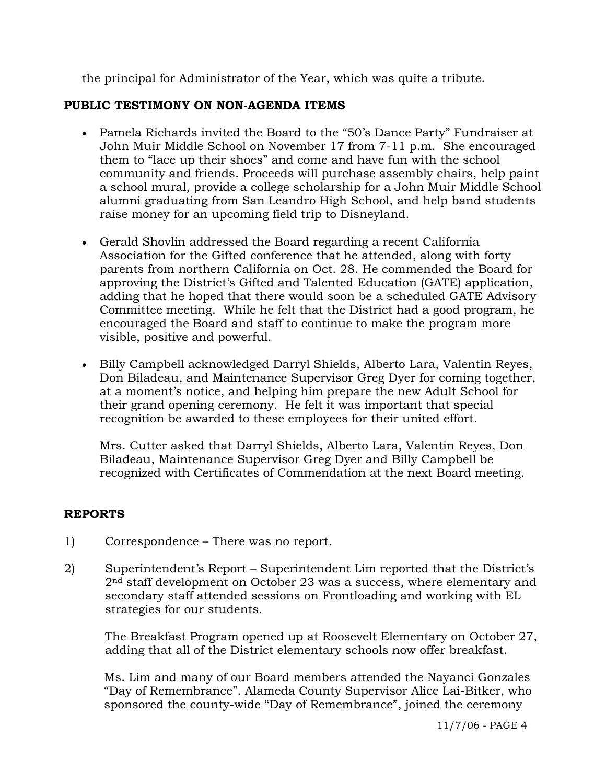the principal for Administrator of the Year, which was quite a tribute.

# **PUBLIC TESTIMONY ON NON-AGENDA ITEMS**

- Pamela Richards invited the Board to the "50's Dance Party" Fundraiser at John Muir Middle School on November 17 from 7-11 p.m. She encouraged them to "lace up their shoes" and come and have fun with the school community and friends. Proceeds will purchase assembly chairs, help paint a school mural, provide a college scholarship for a John Muir Middle School alumni graduating from San Leandro High School, and help band students raise money for an upcoming field trip to Disneyland.
- Gerald Shovlin addressed the Board regarding a recent California Association for the Gifted conference that he attended, along with forty parents from northern California on Oct. 28. He commended the Board for approving the District's Gifted and Talented Education (GATE) application, adding that he hoped that there would soon be a scheduled GATE Advisory Committee meeting. While he felt that the District had a good program, he encouraged the Board and staff to continue to make the program more visible, positive and powerful.
- Billy Campbell acknowledged Darryl Shields, Alberto Lara, Valentin Reyes, Don Biladeau, and Maintenance Supervisor Greg Dyer for coming together, at a moment's notice, and helping him prepare the new Adult School for their grand opening ceremony. He felt it was important that special recognition be awarded to these employees for their united effort.

 Mrs. Cutter asked that Darryl Shields, Alberto Lara, Valentin Reyes, Don Biladeau, Maintenance Supervisor Greg Dyer and Billy Campbell be recognized with Certificates of Commendation at the next Board meeting.

# **REPORTS**

- 1) Correspondence There was no report.
- 2) Superintendent's Report Superintendent Lim reported that the District's 2nd staff development on October 23 was a success, where elementary and secondary staff attended sessions on Frontloading and working with EL strategies for our students.

The Breakfast Program opened up at Roosevelt Elementary on October 27, adding that all of the District elementary schools now offer breakfast.

Ms. Lim and many of our Board members attended the Nayanci Gonzales "Day of Remembrance". Alameda County Supervisor Alice Lai-Bitker, who sponsored the county-wide "Day of Remembrance", joined the ceremony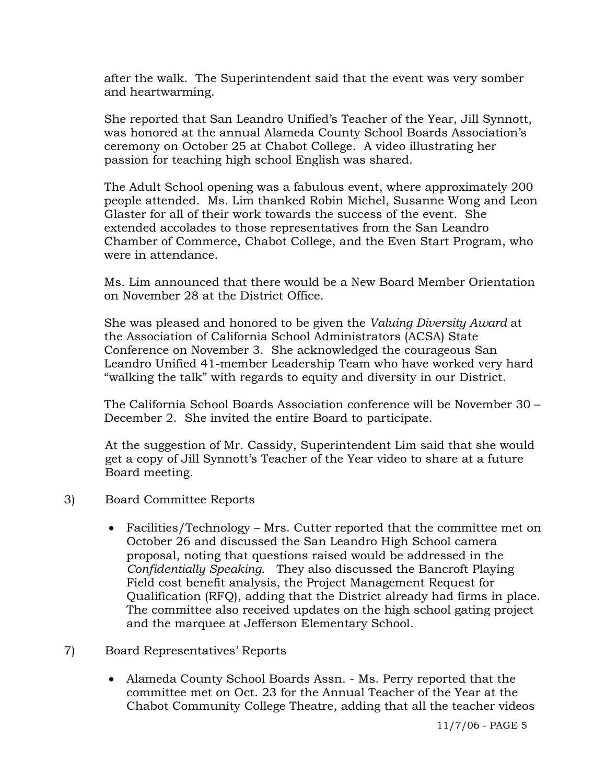after the walk. The Superintendent said that the event was very somber and heartwarming.

She reported that San Leandro Unified's Teacher of the Year, Jill Synnott, was honored at the annual Alameda County School Boards Association's ceremony on October 25 at Chabot College. A video illustrating her passion for teaching high school English was shared.

The Adult School opening was a fabulous event, where approximately 200 people attended. Ms. Lim thanked Robin Michel, Susanne Wong and Leon Glaster for all of their work towards the success of the event. She extended accolades to those representatives from the San Leandro Chamber of Commerce, Chabot College, and the Even Start Program, who were in attendance.

Ms. Lim announced that there would be a New Board Member Orientation on November 28 at the District Office.

She was pleased and honored to be given the *Valuing Diversity Award* at the Association of California School Administrators (ACSA) State Conference on November 3. She acknowledged the courageous San Leandro Unified 41-member Leadership Team who have worked very hard "walking the talk" with regards to equity and diversity in our District.

The California School Boards Association conference will be November 30 – December 2. She invited the entire Board to participate.

At the suggestion of Mr. Cassidy, Superintendent Lim said that she would get a copy of Jill Synnott's Teacher of the Year video to share at a future Board meeting.

- 3) Board Committee Reports
	- Facilities/Technology Mrs. Cutter reported that the committee met on October 26 and discussed the San Leandro High School camera proposal, noting that questions raised would be addressed in the *Confidentially Speaking*. They also discussed the Bancroft Playing Field cost benefit analysis, the Project Management Request for Qualification (RFQ), adding that the District already had firms in place. The committee also received updates on the high school gating project and the marquee at Jefferson Elementary School.

# 7) Board Representatives' Reports

• Alameda County School Boards Assn. - Ms. Perry reported that the committee met on Oct. 23 for the Annual Teacher of the Year at the Chabot Community College Theatre, adding that all the teacher videos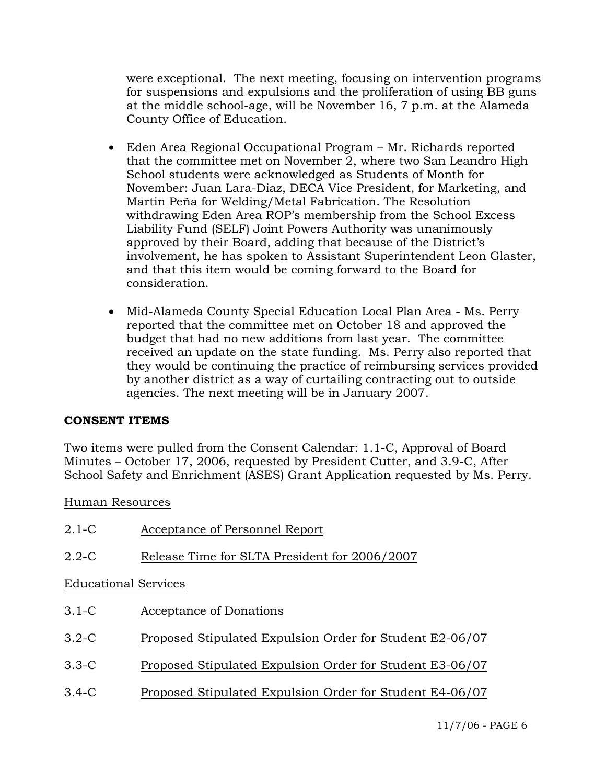were exceptional. The next meeting, focusing on intervention programs for suspensions and expulsions and the proliferation of using BB guns at the middle school-age, will be November 16, 7 p.m. at the Alameda County Office of Education.

- Eden Area Regional Occupational Program Mr. Richards reported that the committee met on November 2, where two San Leandro High School students were acknowledged as Students of Month for November: Juan Lara-Diaz, DECA Vice President, for Marketing, and Martin Peña for Welding/Metal Fabrication. The Resolution withdrawing Eden Area ROP's membership from the School Excess Liability Fund (SELF) Joint Powers Authority was unanimously approved by their Board, adding that because of the District's involvement, he has spoken to Assistant Superintendent Leon Glaster, and that this item would be coming forward to the Board for consideration.
- Mid-Alameda County Special Education Local Plan Area Ms. Perry reported that the committee met on October 18 and approved the budget that had no new additions from last year. The committee received an update on the state funding. Ms. Perry also reported that they would be continuing the practice of reimbursing services provided by another district as a way of curtailing contracting out to outside agencies. The next meeting will be in January 2007.

# **CONSENT ITEMS**

Two items were pulled from the Consent Calendar: 1.1-C, Approval of Board Minutes – October 17, 2006, requested by President Cutter, and 3.9-C, After School Safety and Enrichment (ASES) Grant Application requested by Ms. Perry.

#### Human Resources

| $2.1-C$                     | Acceptance of Personnel Report                           |
|-----------------------------|----------------------------------------------------------|
| $2.2 - C$                   | Release Time for SLTA President for 2006/2007            |
| <b>Educational Services</b> |                                                          |
| $3.1-C$                     | Acceptance of Donations                                  |
| $3.2-C$                     | Proposed Stipulated Expulsion Order for Student E2-06/07 |
| $3.3 - C$                   | Proposed Stipulated Expulsion Order for Student E3-06/07 |
| $3.4 - C$                   | Proposed Stipulated Expulsion Order for Student E4-06/07 |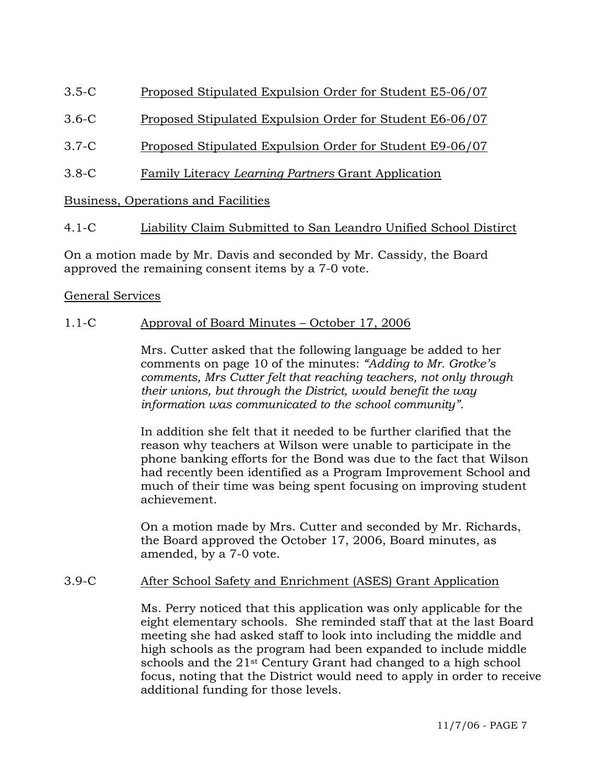- 3.5-C Proposed Stipulated Expulsion Order for Student E5-06/07
- 3.6-C Proposed Stipulated Expulsion Order for Student E6-06/07
- 3.7-C Proposed Stipulated Expulsion Order for Student E9-06/07
- 3.8-C Family Literacy *Learning Partners* Grant Application

Business, Operations and Facilities

# 4.1-C Liability Claim Submitted to San Leandro Unified School Distirct

On a motion made by Mr. Davis and seconded by Mr. Cassidy, the Board approved the remaining consent items by a 7-0 vote.

# General Services

# 1.1-C Approval of Board Minutes – October 17, 2006

Mrs. Cutter asked that the following language be added to her comments on page 10 of the minutes: *"Adding to Mr. Grotke's comments, Mrs Cutter felt that reaching teachers, not only through their unions, but through the District, would benefit the way information was communicated to the school community".* 

In addition she felt that it needed to be further clarified that the reason why teachers at Wilson were unable to participate in the phone banking efforts for the Bond was due to the fact that Wilson had recently been identified as a Program Improvement School and much of their time was being spent focusing on improving student achievement.

On a motion made by Mrs. Cutter and seconded by Mr. Richards, the Board approved the October 17, 2006, Board minutes, as amended, by a 7-0 vote.

# 3.9-C After School Safety and Enrichment (ASES) Grant Application

Ms. Perry noticed that this application was only applicable for the eight elementary schools. She reminded staff that at the last Board meeting she had asked staff to look into including the middle and high schools as the program had been expanded to include middle schools and the 21<sup>st</sup> Century Grant had changed to a high school focus, noting that the District would need to apply in order to receive additional funding for those levels.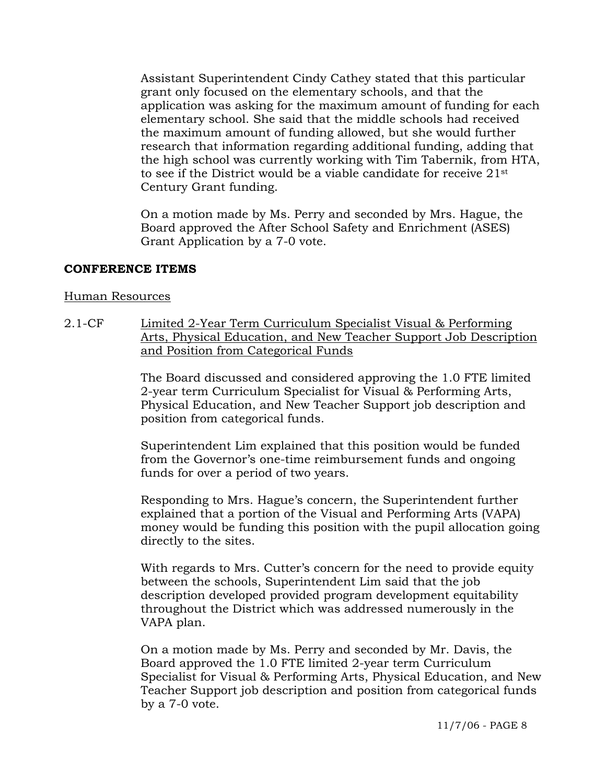Assistant Superintendent Cindy Cathey stated that this particular grant only focused on the elementary schools, and that the application was asking for the maximum amount of funding for each elementary school. She said that the middle schools had received the maximum amount of funding allowed, but she would further research that information regarding additional funding, adding that the high school was currently working with Tim Tabernik, from HTA, to see if the District would be a viable candidate for receive 21st Century Grant funding.

On a motion made by Ms. Perry and seconded by Mrs. Hague, the Board approved the After School Safety and Enrichment (ASES) Grant Application by a 7-0 vote.

#### **CONFERENCE ITEMS**

#### Human Resources

2.1-CF Limited 2-Year Term Curriculum Specialist Visual & Performing Arts, Physical Education, and New Teacher Support Job Description and Position from Categorical Funds

> The Board discussed and considered approving the 1.0 FTE limited 2-year term Curriculum Specialist for Visual & Performing Arts, Physical Education, and New Teacher Support job description and position from categorical funds.

Superintendent Lim explained that this position would be funded from the Governor's one-time reimbursement funds and ongoing funds for over a period of two years.

Responding to Mrs. Hague's concern, the Superintendent further explained that a portion of the Visual and Performing Arts (VAPA) money would be funding this position with the pupil allocation going directly to the sites.

With regards to Mrs. Cutter's concern for the need to provide equity between the schools, Superintendent Lim said that the job description developed provided program development equitability throughout the District which was addressed numerously in the VAPA plan.

On a motion made by Ms. Perry and seconded by Mr. Davis, the Board approved the 1.0 FTE limited 2-year term Curriculum Specialist for Visual & Performing Arts, Physical Education, and New Teacher Support job description and position from categorical funds by a 7-0 vote.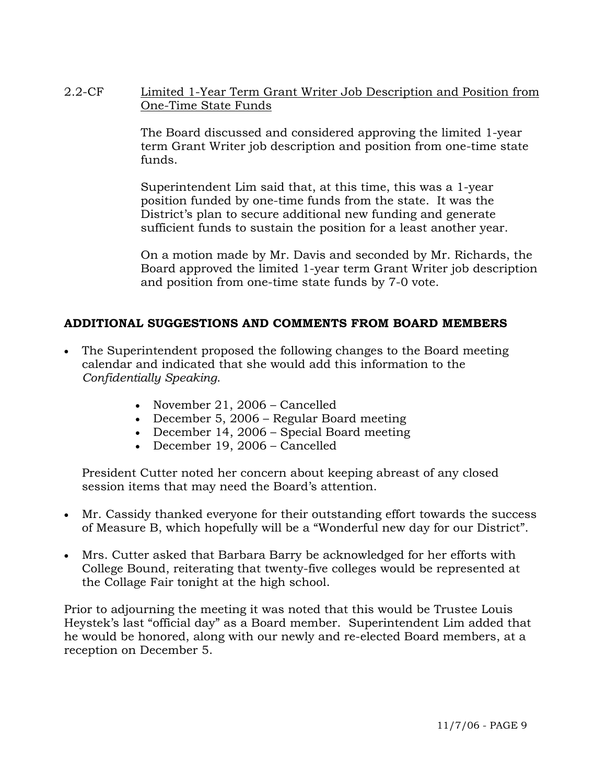2.2-CF Limited 1-Year Term Grant Writer Job Description and Position from One-Time State Funds

> The Board discussed and considered approving the limited 1-year term Grant Writer job description and position from one-time state funds.

Superintendent Lim said that, at this time, this was a 1-year position funded by one-time funds from the state. It was the District's plan to secure additional new funding and generate sufficient funds to sustain the position for a least another year.

On a motion made by Mr. Davis and seconded by Mr. Richards, the Board approved the limited 1-year term Grant Writer job description and position from one-time state funds by 7-0 vote.

# **ADDITIONAL SUGGESTIONS AND COMMENTS FROM BOARD MEMBERS**

- The Superintendent proposed the following changes to the Board meeting calendar and indicated that she would add this information to the *Confidentially Speaking*.
	- November 21, 2006 Cancelled
	- December 5, 2006 Regular Board meeting
	- December 14, 2006 Special Board meeting
	- December 19, 2006 Cancelled

 President Cutter noted her concern about keeping abreast of any closed session items that may need the Board's attention.

- Mr. Cassidy thanked everyone for their outstanding effort towards the success of Measure B, which hopefully will be a "Wonderful new day for our District".
- Mrs. Cutter asked that Barbara Barry be acknowledged for her efforts with College Bound, reiterating that twenty-five colleges would be represented at the Collage Fair tonight at the high school.

Prior to adjourning the meeting it was noted that this would be Trustee Louis Heystek's last "official day" as a Board member. Superintendent Lim added that he would be honored, along with our newly and re-elected Board members, at a reception on December 5.